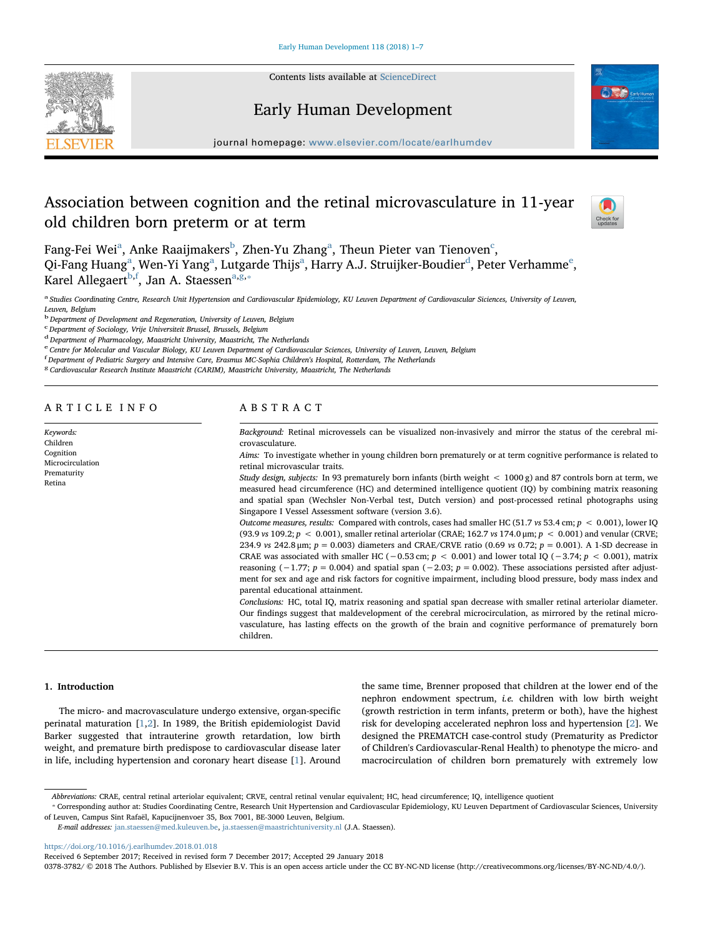

Contents lists available at [ScienceDirect](http://www.sciencedirect.com/science/journal/03783782)

# Early Human Development



journal homepage: [www.elsevier.com/locate/earlhumdev](https://www.elsevier.com/locate/earlhumdev)

# Association between cognition and the retinal microvasculature in 11-year old children born preterm or at term



F[a](#page-0-0)ng-Fei Wei $^{\rm a}$ , Anke Raaijmakers $^{\rm b}$  $^{\rm b}$  $^{\rm b}$ , Zhen-Yu Zhang $^{\rm a}$ , Theun Pieter van Tienoven $^{\rm c}$  $^{\rm c}$  $^{\rm c}$ , Qi-F[a](#page-0-0)ng Huang<sup>a</sup>, Wen-Yi Yang<sup>a</sup>, Lutgar[d](#page-0-3)[e](#page-0-4) Thijs<sup>a</sup>, Harry A.J. Struijker-Boudier<sup>d</sup>, Peter Verhamme<sup>e</sup>, Karel Allegaert<sup>[b](#page-0-1),[f](#page-0-5)</sup>, Jan A. Staessen<sup>[a,](#page-0-0)[g,](#page-0-6)\*</sup>

<span id="page-0-0"></span>a Studies Coordinating Centre, Research Unit Hypertension and Cardiovascular Epidemiology, KU Leuven Department of Cardiovascular Siciences, University of Leuven, Leuven, Belgium

<span id="page-0-1"></span><sup>b</sup> Department of Development and Regeneration, University of Leuven, Belgium

<span id="page-0-2"></span>c<br>
C Department of Sociology, Vrije Universiteit Brussel, Brussels, Belgium

<span id="page-0-3"></span> $d$  Department of Pharmacology, Maastricht University, Maastricht, The Netherlands

<span id="page-0-4"></span>e Centre for Molecular and Vascular Biology, KU Leuven Department of Cardiovascular Sciences, University of Leuven, Leuven, Belgium

<span id="page-0-5"></span>f Department of Pediatric Surgery and Intensive Care, Erasmus MC-Sophia Children's Hospital, Rotterdam, The Netherlands

<span id="page-0-6"></span><sup>g</sup> Cardiovascular Research Institute Maastricht (CARIM), Maastricht University, Maastricht, The Netherlands

ARTICLE INFO

Keywords: Children Cognition Microcirculation Prematurity Retina

# ABSTRACT

Background: Retinal microvessels can be visualized non-invasively and mirror the status of the cerebral microvasculature.

Aims: To investigate whether in young children born prematurely or at term cognitive performance is related to retinal microvascular traits.

Study design, subjects: In 93 prematurely born infants (birth weight < 1000 g) and 87 controls born at term, we measured head circumference (HC) and determined intelligence quotient (IQ) by combining matrix reasoning and spatial span (Wechsler Non-Verbal test, Dutch version) and post-processed retinal photographs using Singapore I Vessel Assessment software (version 3.6).

Outcome measures, results: Compared with controls, cases had smaller HC (51.7 vs 53.4 cm;  $p < 0.001$ ), lower IQ (93.9 vs 109.2;  $p < 0.001$ ), smaller retinal arteriolar (CRAE; 162.7 vs 174.0 µm;  $p < 0.001$ ) and venular (CRVE; 234.9 vs 242.8 μm;  $p = 0.003$ ) diameters and CRAE/CRVE ratio (0.69 vs 0.72;  $p = 0.001$ ). A 1-SD decrease in CRAE was associated with smaller HC ( $-0.53$  cm;  $p < 0.001$ ) and lower total IQ ( $-3.74$ ;  $p < 0.001$ ), matrix reasoning (−1.77;  $p = 0.004$ ) and spatial span (−2.03;  $p = 0.002$ ). These associations persisted after adjustment for sex and age and risk factors for cognitive impairment, including blood pressure, body mass index and parental educational attainment.

Conclusions: HC, total IQ, matrix reasoning and spatial span decrease with smaller retinal arteriolar diameter. Our findings suggest that maldevelopment of the cerebral microcirculation, as mirrored by the retinal microvasculature, has lasting effects on the growth of the brain and cognitive performance of prematurely born children.

## 1. Introduction

The micro- and macrovasculature undergo extensive, organ-specific perinatal maturation [\[1,](#page-5-0)[2](#page-5-1)]. In 1989, the British epidemiologist David Barker suggested that intrauterine growth retardation, low birth weight, and premature birth predispose to cardiovascular disease later in life, including hypertension and coronary heart disease [[1](#page-5-0)]. Around

the same time, Brenner proposed that children at the lower end of the nephron endowment spectrum, i.e. children with low birth weight (growth restriction in term infants, preterm or both), have the highest risk for developing accelerated nephron loss and hypertension [[2](#page-5-1)]. We designed the PREMATCH case-control study (Prematurity as Predictor of Children's Cardiovascular-Renal Health) to phenotype the micro- and macrocirculation of children born prematurely with extremely low

<span id="page-0-7"></span>⁎ Corresponding author at: Studies Coordinating Centre, Research Unit Hypertension and Cardiovascular Epidemiology, KU Leuven Department of Cardiovascular Sciences, University of Leuven, Campus Sint Rafaël, Kapucijnenvoer 35, Box 7001, BE-3000 Leuven, Belgium.

E-mail addresses: [jan.staessen@med.kuleuven.be,](mailto:jan.staessen@med.kuleuven.be) [ja.staessen@maastrichtuniversity.nl](mailto:ja.staessen@maastrichtuniversity.nl) (J.A. Staessen).

<https://doi.org/10.1016/j.earlhumdev.2018.01.018>

Received 6 September 2017; Received in revised form 7 December 2017; Accepted 29 January 2018

0378-3782/ © 2018 The Authors. Published by Elsevier B.V. This is an open access article under the CC BY-NC-ND license (http://creativecommons.org/licenses/BY-NC-ND/4.0/).

Abbreviations: CRAE, central retinal arteriolar equivalent; CRVE, central retinal venular equivalent; HC, head circumference; IQ, intelligence quotient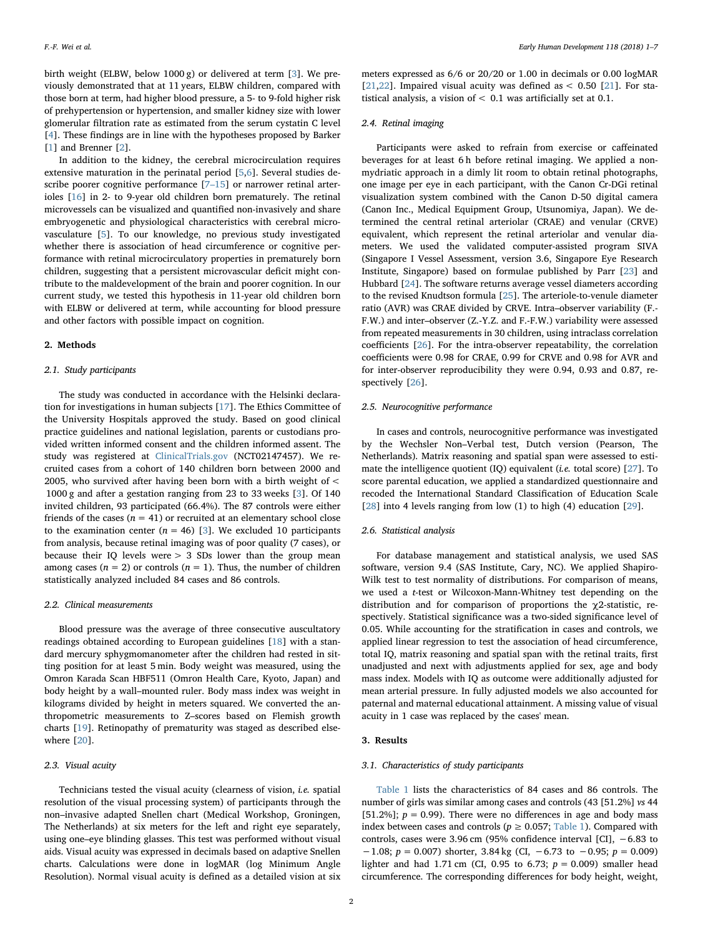birth weight (ELBW, below 1000 g) or delivered at term [\[3\]](#page-5-2). We previously demonstrated that at 11 years, ELBW children, compared with those born at term, had higher blood pressure, a 5- to 9-fold higher risk of prehypertension or hypertension, and smaller kidney size with lower glomerular filtration rate as estimated from the serum cystatin C level [[4](#page-5-3)]. These findings are in line with the hypotheses proposed by Barker [[1](#page-5-0)] and Brenner [\[2\]](#page-5-1).

In addition to the kidney, the cerebral microcirculation requires extensive maturation in the perinatal period [\[5,](#page-5-4)[6\]](#page-5-5). Several studies describe poorer cognitive performance [7–[15](#page-5-6)] or narrower retinal arterioles [[16\]](#page-5-7) in 2- to 9-year old children born prematurely. The retinal microvessels can be visualized and quantified non-invasively and share embryogenetic and physiological characteristics with cerebral microvasculature [[5](#page-5-4)]. To our knowledge, no previous study investigated whether there is association of head circumference or cognitive performance with retinal microcirculatory properties in prematurely born children, suggesting that a persistent microvascular deficit might contribute to the maldevelopment of the brain and poorer cognition. In our current study, we tested this hypothesis in 11-year old children born with ELBW or delivered at term, while accounting for blood pressure and other factors with possible impact on cognition.

#### 2. Methods

# 2.1. Study participants

The study was conducted in accordance with the Helsinki declaration for investigations in human subjects [[17\]](#page-6-0). The Ethics Committee of the University Hospitals approved the study. Based on good clinical practice guidelines and national legislation, parents or custodians provided written informed consent and the children informed assent. The study was registered at [ClinicalTrials.gov](http://ClinicalTrials.gov) (NCT02147457). We recruited cases from a cohort of 140 children born between 2000 and 2005, who survived after having been born with a birth weight of < 1000 g and after a gestation ranging from 23 to 33 weeks [\[3\]](#page-5-2). Of 140 invited children, 93 participated (66.4%). The 87 controls were either friends of the cases ( $n = 41$ ) or recruited at an elementary school close to the examination center ( $n = 46$ ) [[3](#page-5-2)]. We excluded 10 participants from analysis, because retinal imaging was of poor quality (7 cases), or because their IQ levels were > 3 SDs lower than the group mean among cases ( $n = 2$ ) or controls ( $n = 1$ ). Thus, the number of children statistically analyzed included 84 cases and 86 controls.

#### 2.2. Clinical measurements

Blood pressure was the average of three consecutive auscultatory readings obtained according to European guidelines [\[18](#page-6-1)] with a standard mercury sphygmomanometer after the children had rested in sitting position for at least 5 min. Body weight was measured, using the Omron Karada Scan HBF511 (Omron Health Care, Kyoto, Japan) and body height by a wall–mounted ruler. Body mass index was weight in kilograms divided by height in meters squared. We converted the anthropometric measurements to Z–scores based on Flemish growth charts [\[19](#page-6-2)]. Retinopathy of prematurity was staged as described elsewhere [\[20](#page-6-3)].

# 2.3. Visual acuity

Technicians tested the visual acuity (clearness of vision, i.e. spatial resolution of the visual processing system) of participants through the non–invasive adapted Snellen chart (Medical Workshop, Groningen, The Netherlands) at six meters for the left and right eye separately, using one–eye blinding glasses. This test was performed without visual aids. Visual acuity was expressed in decimals based on adaptive Snellen charts. Calculations were done in logMAR (log Minimum Angle Resolution). Normal visual acuity is defined as a detailed vision at six

meters expressed as 6/6 or 20/20 or 1.00 in decimals or 0.00 logMAR [[21](#page-6-4)[,22](#page-6-5)]. Impaired visual acuity was defined as  $<$  0.50 [\[21](#page-6-4)]. For statistical analysis, a vision of < 0.1 was artificially set at 0.1.

### 2.4. Retinal imaging

Participants were asked to refrain from exercise or caffeinated beverages for at least 6 h before retinal imaging. We applied a nonmydriatic approach in a dimly lit room to obtain retinal photographs, one image per eye in each participant, with the Canon Cr-DGi retinal visualization system combined with the Canon D-50 digital camera (Canon Inc., Medical Equipment Group, Utsunomiya, Japan). We determined the central retinal arteriolar (CRAE) and venular (CRVE) equivalent, which represent the retinal arteriolar and venular diameters. We used the validated computer-assisted program SIVA (Singapore I Vessel Assessment, version 3.6, Singapore Eye Research Institute, Singapore) based on formulae published by Parr [\[23](#page-6-6)] and Hubbard [\[24\]](#page-6-7). The software returns average vessel diameters according to the revised Knudtson formula [\[25](#page-6-8)]. The arteriole-to-venule diameter ratio (AVR) was CRAE divided by CRVE. Intra–observer variability (F.- F.W.) and inter–observer (Z.-Y.Z. and F.-F.W.) variability were assessed from repeated measurements in 30 children, using intraclass correlation coefficients [\[26](#page-6-9)]. For the intra-observer repeatability, the correlation coefficients were 0.98 for CRAE, 0.99 for CRVE and 0.98 for AVR and for inter-observer reproducibility they were 0.94, 0.93 and 0.87, respectively [[26\]](#page-6-9).

## 2.5. Neurocognitive performance

In cases and controls, neurocognitive performance was investigated by the Wechsler Non–Verbal test, Dutch version (Pearson, The Netherlands). Matrix reasoning and spatial span were assessed to estimate the intelligence quotient (IQ) equivalent (*i.e.* total score)  $[27]$  $[27]$ . To score parental education, we applied a standardized questionnaire and recoded the International Standard Classification of Education Scale [[28\]](#page-6-11) into 4 levels ranging from low (1) to high (4) education [\[29](#page-6-12)].

## 2.6. Statistical analysis

For database management and statistical analysis, we used SAS software, version 9.4 (SAS Institute, Cary, NC). We applied Shapiro-Wilk test to test normality of distributions. For comparison of means, we used a t-test or Wilcoxon-Mann-Whitney test depending on the distribution and for comparison of proportions the χ2-statistic, respectively. Statistical significance was a two-sided significance level of 0.05. While accounting for the stratification in cases and controls, we applied linear regression to test the association of head circumference, total IQ, matrix reasoning and spatial span with the retinal traits, first unadjusted and next with adjustments applied for sex, age and body mass index. Models with IQ as outcome were additionally adjusted for mean arterial pressure. In fully adjusted models we also accounted for paternal and maternal educational attainment. A missing value of visual acuity in 1 case was replaced by the cases' mean.

## 3. Results

## 3.1. Characteristics of study participants

[Table 1](#page-2-0) lists the characteristics of 84 cases and 86 controls. The number of girls was similar among cases and controls (43 [51.2%] vs 44 [51.2%];  $p = 0.99$ ). There were no differences in age and body mass index between cases and controls ( $p \geq 0.057$ ; [Table 1\)](#page-2-0). Compared with controls, cases were 3.96 cm (95% confidence interval [CI], −6.83 to  $-1.08$ ;  $p = 0.007$ ) shorter, 3.84 kg (CI,  $-6.73$  to  $-0.95$ ;  $p = 0.009$ ) lighter and had 1.71 cm (CI, 0.95 to 6.73;  $p = 0.009$ ) smaller head circumference. The corresponding differences for body height, weight,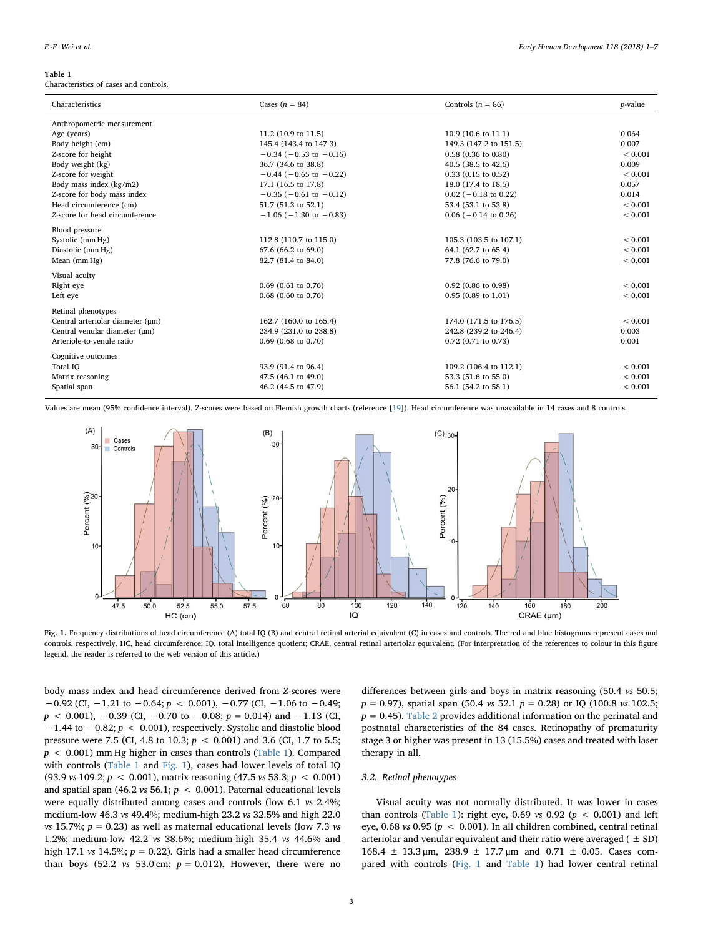#### <span id="page-2-0"></span>Table 1

Characteristics of cases and controls.

| Characteristics                  | Cases $(n = 84)$               | Controls $(n = 86)$       | <i>p</i> -value |
|----------------------------------|--------------------------------|---------------------------|-----------------|
| Anthropometric measurement       |                                |                           |                 |
| Age (years)                      | 11.2 (10.9 to 11.5)            | 10.9 (10.6 to 11.1)       | 0.064           |
| Body height (cm)                 | 145.4 (143.4 to 147.3)         | 149.3 (147.2 to 151.5)    | 0.007           |
| Z-score for height               | $-0.34$ ( $-0.53$ to $-0.16$ ) | $0.58$ (0.36 to 0.80)     | ${}< 0.001$     |
| Body weight (kg)                 | 36.7 (34.6 to 38.8)            | 40.5 (38.5 to 42.6)       | 0.009           |
| Z-score for weight               | $-0.44$ ( $-0.65$ to $-0.22$ ) | $0.33$ (0.15 to 0.52)     | ${}< 0.001$     |
| Body mass index (kg/m2)          | 17.1 (16.5 to 17.8)            | 18.0 (17.4 to 18.5)       | 0.057           |
| Z-score for body mass index      | $-0.36$ ( $-0.61$ to $-0.12$ ) | $0.02$ ( $-0.18$ to 0.22) | 0.014           |
| Head circumference (cm)          | 51.7 (51.3 to 52.1)            | 53.4 (53.1 to 53.8)       | ${}< 0.001$     |
| Z-score for head circumference   | $-1.06$ ( $-1.30$ to $-0.83$ ) | $0.06$ ( $-0.14$ to 0.26) | ${}< 0.001$     |
| Blood pressure                   |                                |                           |                 |
| Systolic (mm Hg)                 | 112.8 (110.7 to 115.0)         | 105.3 (103.5 to 107.1)    | ${}< 0.001$     |
| Diastolic (mm Hg)                | 67.6 (66.2 to 69.0)            | 64.1 (62.7 to 65.4)       | ${}< 0.001$     |
| Mean (mm Hg)                     | 82.7 (81.4 to 84.0)            | 77.8 (76.6 to 79.0)       | ${}< 0.001$     |
| Visual acuity                    |                                |                           |                 |
| Right eye                        | $0.69$ (0.61 to 0.76)          | $0.92$ (0.86 to 0.98)     | ${}< 0.001$     |
| Left eye                         | $0.68$ (0.60 to 0.76)          | $0.95(0.89)$ to $1.01$    | ${}< 0.001$     |
| Retinal phenotypes               |                                |                           |                 |
| Central arteriolar diameter (µm) | 162.7 (160.0 to 165.4)         | 174.0 (171.5 to 176.5)    | ${}< 0.001$     |
| Central venular diameter (µm)    | 234.9 (231.0 to 238.8)         | 242.8 (239.2 to 246.4)    | 0.003           |
| Arteriole-to-venule ratio        | $0.69(0.68 \text{ to } 0.70)$  | $0.72$ (0.71 to 0.73)     | 0.001           |
| Cognitive outcomes               |                                |                           |                 |
| Total IQ                         | 93.9 (91.4 to 96.4)            | 109.2 (106.4 to 112.1)    | ${}< 0.001$     |
| Matrix reasoning                 | 47.5 (46.1 to 49.0)            | 53.3 (51.6 to 55.0)       | ${}< 0.001$     |
| Spatial span                     | 46.2 (44.5 to 47.9)            | 56.1 (54.2 to 58.1)       | < 0.001         |
|                                  |                                |                           |                 |

<span id="page-2-1"></span>Values are mean (95% confidence interval). Z-scores were based on Flemish growth charts (reference [[19\]](#page-6-2)). Head circumference was unavailable in 14 cases and 8 controls.



Fig. 1. Frequency distributions of head circumference (A) total IQ (B) and central retinal arterial equivalent (C) in cases and controls. The red and blue histograms represent cases and controls, respectively. HC, head circumference; IQ, total intelligence quotient; CRAE, central retinal arteriolar equivalent. (For interpretation of the references to colour in this figure legend, the reader is referred to the web version of this article.)

body mass index and head circumference derived from Z-scores were  $-0.92$  (CI,  $-1.21$  to  $-0.64$ ;  $p < 0.001$ ),  $-0.77$  (CI,  $-1.06$  to  $-0.49$ ;  $p$  < 0.001), -0.39 (CI, -0.70 to -0.08;  $p$  = 0.014) and -1.13 (CI, −1.44 to −0.82; p < 0.001), respectively. Systolic and diastolic blood pressure were 7.5 (CI, 4.8 to 10.3;  $p < 0.001$ ) and 3.6 (CI, 1.7 to 5.5;  $p < 0.001$ ) mm Hg higher in cases than controls ([Table 1\)](#page-2-0). Compared with controls [\(Table 1](#page-2-0) and [Fig. 1\)](#page-2-1), cases had lower levels of total IQ (93.9 vs 109.2;  $p < 0.001$ ), matrix reasoning (47.5 vs 53.3;  $p < 0.001$ ) and spatial span (46.2 vs 56.1;  $p < 0.001$ ). Paternal educational levels were equally distributed among cases and controls (low 6.1 vs 2.4%; medium-low 46.3 vs 49.4%; medium-high 23.2 vs 32.5% and high 22.0 vs 15.7%;  $p = 0.23$ ) as well as maternal educational levels (low 7.3 vs 1.2%; medium-low 42.2 vs 38.6%; medium-high 35.4 vs 44.6% and high 17.1 vs 14.5%;  $p = 0.22$ ). Girls had a smaller head circumference than boys (52.2 *vs* 53.0 cm;  $p = 0.012$ ). However, there were no

differences between girls and boys in matrix reasoning (50.4 vs 50.5;  $p = 0.97$ ), spatial span (50.4 vs 52.1  $p = 0.28$ ) or IQ (100.8 vs 102.5;  $p = 0.45$ ). [Table 2](#page-3-0) provides additional information on the perinatal and postnatal characteristics of the 84 cases. Retinopathy of prematurity stage 3 or higher was present in 13 (15.5%) cases and treated with laser therapy in all.

## 3.2. Retinal phenotypes

Visual acuity was not normally distributed. It was lower in cases than controls [\(Table 1\)](#page-2-0): right eye, 0.69 vs 0.92 ( $p < 0.001$ ) and left eye, 0.68 vs 0.95 ( $p < 0.001$ ). In all children combined, central retinal arteriolar and venular equivalent and their ratio were averaged  $( \pm SD)$ 168.4  $\pm$  13.3 μm, 238.9  $\pm$  17.7 μm and 0.71  $\pm$  0.05. Cases compared with controls [\(Fig. 1](#page-2-1) and [Table 1\)](#page-2-0) had lower central retinal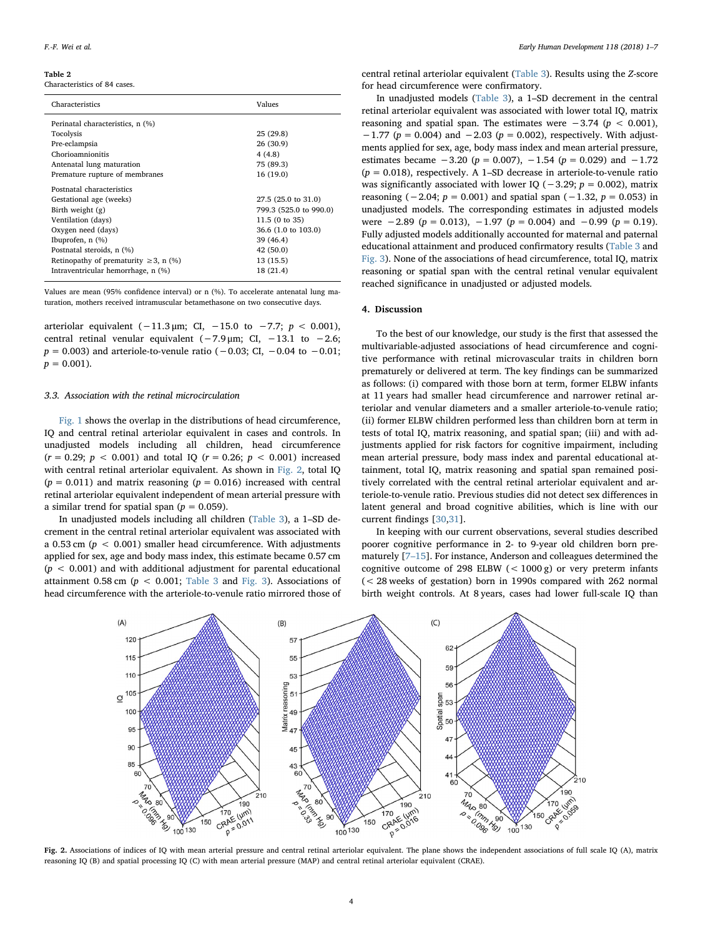#### <span id="page-3-0"></span>Table 2

Characteristics of 84 cases.

| Characteristics                             | Values                 |  |  |  |
|---------------------------------------------|------------------------|--|--|--|
| Perinatal characteristics, n (%)            |                        |  |  |  |
| Tocolysis                                   | 25(29.8)               |  |  |  |
| Pre-eclampsia                               | 26 (30.9)              |  |  |  |
| Chorioamnionitis                            | 4(4.8)                 |  |  |  |
| Antenatal lung maturation                   | 75 (89.3)              |  |  |  |
| Premature rupture of membranes              | 16 (19.0)              |  |  |  |
| Postnatal characteristics                   |                        |  |  |  |
| Gestational age (weeks)                     | 27.5 (25.0 to 31.0)    |  |  |  |
| Birth weight (g)                            | 799.3 (525.0 to 990.0) |  |  |  |
| Ventilation (days)                          | 11.5 (0 to 35)         |  |  |  |
| Oxygen need (days)                          | 36.6 (1.0 to 103.0)    |  |  |  |
| Ibuprofen, $n$ $(\%)$                       | 39 (46.4)              |  |  |  |
| Postnatal steroids, n (%)                   | 42 (50.0)              |  |  |  |
| Retinopathy of prematurity $\geq 3$ , n (%) | 13 (15.5)              |  |  |  |
| Intraventricular hemorrhage, n (%)          | 18 (21.4)              |  |  |  |

Values are mean (95% confidence interval) or n (%). To accelerate antenatal lung maturation, mothers received intramuscular betamethasone on two consecutive days.

arteriolar equivalent (−11.3 µm; CI, −15.0 to −7.7;  $p$  < 0.001), central retinal venular equivalent (−7.9 μm; CI, −13.1 to −2.6;  $p = 0.003$ ) and arteriole-to-venule ratio ( $-0.03$ ; CI,  $-0.04$  to  $-0.01$ ;  $p = 0.001$ .

#### 3.3. Association with the retinal microcirculation

[Fig. 1](#page-2-1) shows the overlap in the distributions of head circumference, IQ and central retinal arteriolar equivalent in cases and controls. In unadjusted models including all children, head circumference  $(r = 0.29; p < 0.001)$  and total IQ  $(r = 0.26; p < 0.001)$  increased with central retinal arteriolar equivalent. As shown in [Fig. 2,](#page-3-1) total IQ  $(p = 0.011)$  and matrix reasoning  $(p = 0.016)$  increased with central retinal arteriolar equivalent independent of mean arterial pressure with a similar trend for spatial span ( $p = 0.059$ ).

In unadjusted models including all children ([Table 3\)](#page-4-0), a 1–SD decrement in the central retinal arteriolar equivalent was associated with a 0.53 cm ( $p < 0.001$ ) smaller head circumference. With adjustments applied for sex, age and body mass index, this estimate became 0.57 cm  $(p < 0.001)$  and with additional adjustment for parental educational attainment 0.58 cm ( $p < 0.001$ ; [Table 3](#page-4-0) and [Fig. 3](#page-4-1)). Associations of head circumference with the arteriole-to-venule ratio mirrored those of

central retinal arteriolar equivalent ([Table 3\)](#page-4-0). Results using the Z-score for head circumference were confirmatory.

In unadjusted models [\(Table 3](#page-4-0)), a 1–SD decrement in the central retinal arteriolar equivalent was associated with lower total IQ, matrix reasoning and spatial span. The estimates were  $-3.74$  ( $p < 0.001$ ), −1.77 ( $p = 0.004$ ) and −2.03 ( $p = 0.002$ ), respectively. With adjustments applied for sex, age, body mass index and mean arterial pressure, estimates became  $-3.20$  ( $p = 0.007$ ),  $-1.54$  ( $p = 0.029$ ) and  $-1.72$  $(p = 0.018)$ , respectively. A 1-SD decrease in arteriole-to-venule ratio was significantly associated with lower IO ( $-3.29$ ;  $p = 0.002$ ), matrix reasoning (−2.04;  $p = 0.001$ ) and spatial span (−1.32,  $p = 0.053$ ) in unadjusted models. The corresponding estimates in adjusted models were  $-2.89$  ( $p = 0.013$ ),  $-1.97$  ( $p = 0.004$ ) and  $-0.99$  ( $p = 0.19$ ). Fully adjusted models additionally accounted for maternal and paternal educational attainment and produced confirmatory results [\(Table 3](#page-4-0) and [Fig. 3](#page-4-1)). None of the associations of head circumference, total IQ, matrix reasoning or spatial span with the central retinal venular equivalent reached significance in unadjusted or adjusted models.

## 4. Discussion

To the best of our knowledge, our study is the first that assessed the multivariable-adjusted associations of head circumference and cognitive performance with retinal microvascular traits in children born prematurely or delivered at term. The key findings can be summarized as follows: (i) compared with those born at term, former ELBW infants at 11 years had smaller head circumference and narrower retinal arteriolar and venular diameters and a smaller arteriole-to-venule ratio; (ii) former ELBW children performed less than children born at term in tests of total IQ, matrix reasoning, and spatial span; (iii) and with adjustments applied for risk factors for cognitive impairment, including mean arterial pressure, body mass index and parental educational attainment, total IQ, matrix reasoning and spatial span remained positively correlated with the central retinal arteriolar equivalent and arteriole-to-venule ratio. Previous studies did not detect sex differences in latent general and broad cognitive abilities, which is line with our current findings [\[30](#page-6-13)[,31](#page-6-14)].

In keeping with our current observations, several studies described poorer cognitive performance in 2- to 9-year old children born prematurely [7–[15](#page-5-6)]. For instance, Anderson and colleagues determined the cognitive outcome of 298 ELBW  $(< 1000 \text{ g})$  or very preterm infants (< 28 weeks of gestation) born in 1990s compared with 262 normal birth weight controls. At 8 years, cases had lower full-scale IQ than

<span id="page-3-1"></span>

Fig. 2. Associations of indices of IQ with mean arterial pressure and central retinal arteriolar equivalent. The plane shows the independent associations of full scale IQ (A), matrix reasoning IQ (B) and spatial processing IQ (C) with mean arterial pressure (MAP) and central retinal arteriolar equivalent (CRAE).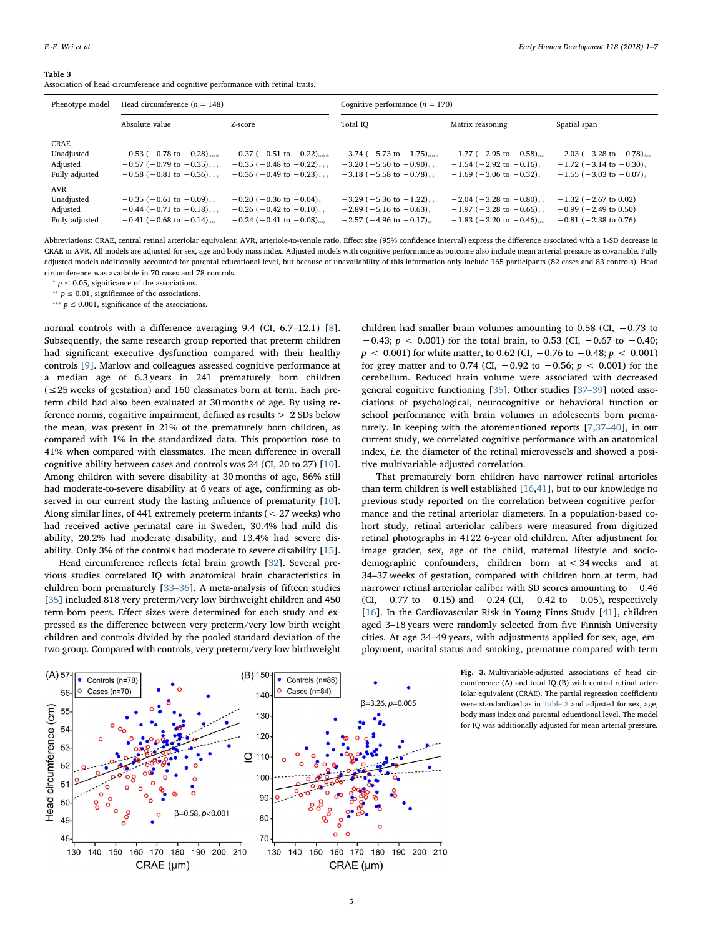#### <span id="page-4-0"></span>Table 3

Association of head circumference and cognitive performance with retinal traits.

| Phenotype model                                  | Head circumference $(n = 148)$                                                                     |                                                                                                       | Cognitive performance $(n = 170)$                                                                           |                                                                                                        |                                                                                                |
|--------------------------------------------------|----------------------------------------------------------------------------------------------------|-------------------------------------------------------------------------------------------------------|-------------------------------------------------------------------------------------------------------------|--------------------------------------------------------------------------------------------------------|------------------------------------------------------------------------------------------------|
|                                                  | Absolute value                                                                                     | Z-score                                                                                               | Total IO                                                                                                    | Matrix reasoning                                                                                       | Spatial span                                                                                   |
| CRAE<br>Unadjusted<br>Adjusted<br>Fully adjusted | $-0.53$ ( $-0.78$ to $-0.28$ )<br>$-0.57$ (-0.79 to $-0.35$ )***<br>$-0.58$ ( $-0.81$ to $-0.36$ ) | $-0.37$ (-0.51 to $-0.22$ )***<br>$-0.35$ ( $-0.48$ to $-0.22$ )<br>$-0.36$ ( $-0.49$ to $-0.23$ )    | $-3.74$ ( $-5.73$ to $-1.75$ )<br>$-3.20$ (-5.50 to -0.90) <sub>**</sub><br>$-3.18$ ( $-5.58$ to $-0.78$ ). | $-1.77$ (-2.95 to $-0.58$ )**<br>$-1.54$ ( $-2.92$ to $-0.16$ ).<br>$-1.69$ ( $-3.06$ to $-0.32$ ).    | $-2.03$ ( $-3.28$ to $-0.78$ )<br>$-1.72$ (-3.14 to -0.30).<br>$-1.55$ ( $-3.03$ to $-0.07$ ). |
| AVR<br>Unadjusted<br>Adjusted<br>Fully adjusted  | $-0.35$ ( $-0.61$ to $-0.09$ )**<br>$-0.44$ (-0.71 to $-0.18$ )<br>$-0.41$ ( $-0.68$ to $-0.14$ ). | $-0.20$ ( $-0.36$ to $-0.04$ ).<br>$-0.26$ ( $-0.42$ to $-0.10$ ).<br>$-0.24$ ( $-0.41$ to $-0.08$ ). | $-3.29$ (-5.36 to $-1.22$ )**<br>$-2.89$ ( $-5.16$ to $-0.63$ ).<br>$-2.57$ ( $-4.96$ to $-0.17$ ).         | $-2.04$ ( $-3.28$ to $-0.80$ )**<br>$-1.97$ ( $-3.28$ to $-0.66$ ).<br>$-1.83$ ( $-3.20$ to $-0.46$ ). | $-1.32$ ( $-2.67$ to 0.02)<br>$-0.99$ ( $-2.49$ to 0.50)<br>$-0.81$ ( $-2.38$ to 0.76)         |

Abbreviations: CRAE, central retinal arteriolar equivalent; AVR, arteriole-to-venule ratio. Effect size (95% confidence interval) express the difference associated with a 1-SD decrease in CRAE or AVR. All models are adjusted for sex, age and body mass index. Adjusted models with cognitive performance as outcome also include mean arterial pressure as covariable. Fully adjusted models additionally accounted for parental educational level, but because of unavailability of this information only include 165 participants (82 cases and 83 controls). Head circumference was available in 70 cases and 78 controls.

<span id="page-4-4"></span> $∗ p ≤ 0.05$ , significance of the associations.

<span id="page-4-3"></span><sup>∗</sup>  $p$  ≤ 0.01, significance of the associations.

<span id="page-4-2"></span>\*\*\*  $p \le 0.001$ , significance of the associations.

normal controls with a difference averaging 9.4 (CI, 6.7–12.1) [[8](#page-5-8)]. Subsequently, the same research group reported that preterm children had significant executive dysfunction compared with their healthy controls [[9](#page-5-9)]. Marlow and colleagues assessed cognitive performance at a median age of 6.3 years in 241 prematurely born children  $( $\leq$ 25 weeks of gestation) and 160 classmates born at term. Each pre$ term child had also been evaluated at 30 months of age. By using reference norms, cognitive impairment, defined as results > 2 SDs below the mean, was present in 21% of the prematurely born children, as compared with 1% in the standardized data. This proportion rose to 41% when compared with classmates. The mean difference in overall cognitive ability between cases and controls was 24 (CI, 20 to 27) [\[10](#page-5-10)]. Among children with severe disability at 30 months of age, 86% still had moderate-to-severe disability at 6 years of age, confirming as observed in our current study the lasting influence of prematurity [\[10](#page-5-10)]. Along similar lines, of 441 extremely preterm infants (< 27 weeks) who had received active perinatal care in Sweden, 30.4% had mild disability, 20.2% had moderate disability, and 13.4% had severe disability. Only 3% of the controls had moderate to severe disability [\[15](#page-5-11)].

Head circumference reflects fetal brain growth [\[32](#page-6-15)]. Several previous studies correlated IQ with anatomical brain characteristics in children born prematurely [33–[36\]](#page-6-16). A meta-analysis of fifteen studies [[35\]](#page-6-17) included 818 very preterm/very low birthweight children and 450 term-born peers. Effect sizes were determined for each study and expressed as the difference between very preterm/very low birth weight children and controls divided by the pooled standard deviation of the two group. Compared with controls, very preterm/very low birthweight

children had smaller brain volumes amounting to 0.58 (CI,  $-0.73$  to  $-0.43$ ;  $p < 0.001$ ) for the total brain, to 0.53 (CI,  $-0.67$  to  $-0.40$ ;  $p < 0.001$ ) for white matter, to 0.62 (CI,  $-0.76$  to  $-0.48$ ;  $p < 0.001$ ) for grey matter and to 0.74 (CI,  $-0.92$  to  $-0.56$ ;  $p < 0.001$ ) for the cerebellum. Reduced brain volume were associated with decreased general cognitive functioning [[35\]](#page-6-17). Other studies [\[37](#page-6-18)–39] noted associations of psychological, neurocognitive or behavioral function or school performance with brain volumes in adolescents born prematurely. In keeping with the aforementioned reports [\[7,](#page-5-6)37–[40\]](#page-6-18), in our current study, we correlated cognitive performance with an anatomical index, i.e. the diameter of the retinal microvessels and showed a positive multivariable-adjusted correlation.

That prematurely born children have narrower retinal arterioles than term children is well established [[16,](#page-5-7)[41\]](#page-6-19), but to our knowledge no previous study reported on the correlation between cognitive performance and the retinal arteriolar diameters. In a population-based cohort study, retinal arteriolar calibers were measured from digitized retinal photographs in 4122 6-year old children. After adjustment for image grader, sex, age of the child, maternal lifestyle and sociodemographic confounders, children born at < 34 weeks and at 34–37 weeks of gestation, compared with children born at term, had narrower retinal arteriolar caliber with SD scores amounting to −0.46 (CI,  $-0.77$  to  $-0.15$ ) and  $-0.24$  (CI,  $-0.42$  to  $-0.05$ ), respectively [[16\]](#page-5-7). In the Cardiovascular Risk in Young Finns Study [[41\]](#page-6-19), children aged 3–18 years were randomly selected from five Finnish University cities. At age 34–49 years, with adjustments applied for sex, age, employment, marital status and smoking, premature compared with term

<span id="page-4-1"></span>

Fig. 3. Multivariable-adjusted associations of head circumference (A) and total IQ (B) with central retinal arteriolar equivalent (CRAE). The partial regression coefficients were standardized as in [Table 3](#page-4-0) and adjusted for sex, age, body mass index and parental educational level. The model for IQ was additionally adjusted for mean arterial pressure.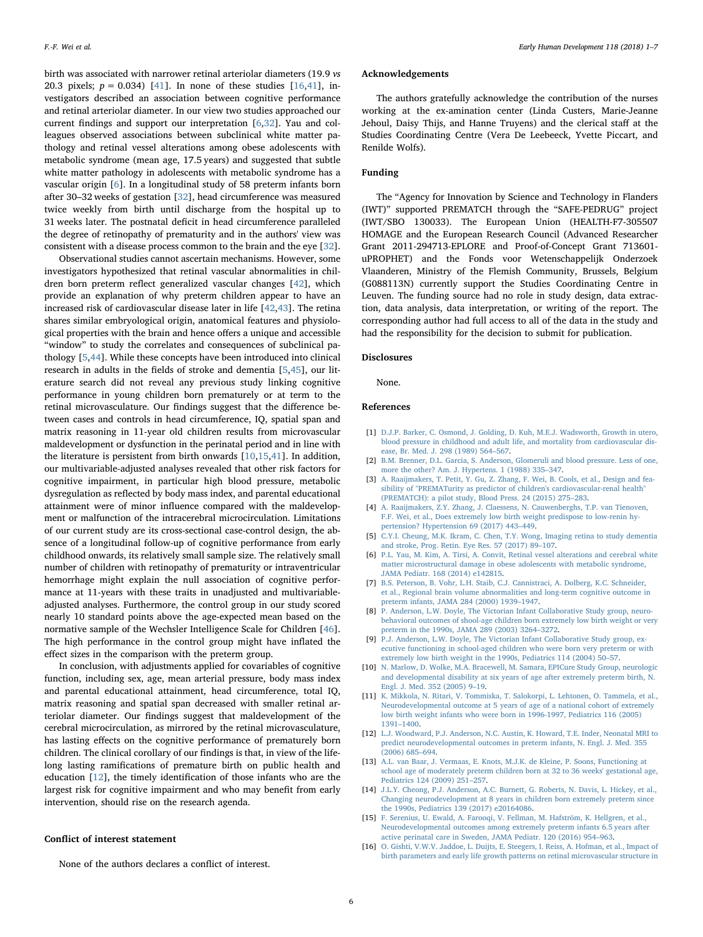birth was associated with narrower retinal arteriolar diameters (19.9 vs 20.3 pixels;  $p = 0.034$  [[41\]](#page-6-19). In none of these studies [\[16](#page-5-7)[,41](#page-6-19)], investigators described an association between cognitive performance and retinal arteriolar diameter. In our view two studies approached our current findings and support our interpretation [\[6,](#page-5-5)[32\]](#page-6-15). Yau and colleagues observed associations between subclinical white matter pathology and retinal vessel alterations among obese adolescents with metabolic syndrome (mean age, 17.5 years) and suggested that subtle white matter pathology in adolescents with metabolic syndrome has a vascular origin [[6](#page-5-5)]. In a longitudinal study of 58 preterm infants born after 30–32 weeks of gestation [[32](#page-6-15)], head circumference was measured twice weekly from birth until discharge from the hospital up to 31 weeks later. The postnatal deficit in head circumference paralleled the degree of retinopathy of prematurity and in the authors' view was consistent with a disease process common to the brain and the eye [\[32](#page-6-15)].

Observational studies cannot ascertain mechanisms. However, some investigators hypothesized that retinal vascular abnormalities in children born preterm reflect generalized vascular changes [[42\]](#page-6-20), which provide an explanation of why preterm children appear to have an increased risk of cardiovascular disease later in life [\[42](#page-6-20)[,43](#page-6-21)]. The retina shares similar embryological origin, anatomical features and physiological properties with the brain and hence offers a unique and accessible "window" to study the correlates and consequences of subclinical pathology [[5](#page-5-4),[44](#page-6-22)]. While these concepts have been introduced into clinical research in adults in the fields of stroke and dementia [\[5](#page-5-4)[,45](#page-6-23)], our literature search did not reveal any previous study linking cognitive performance in young children born prematurely or at term to the retinal microvasculature. Our findings suggest that the difference between cases and controls in head circumference, IQ, spatial span and matrix reasoning in 11-year old children results from microvascular maldevelopment or dysfunction in the perinatal period and in line with the literature is persistent from birth onwards [\[10](#page-5-10),[15,](#page-5-11)[41\]](#page-6-19). In addition, our multivariable-adjusted analyses revealed that other risk factors for cognitive impairment, in particular high blood pressure, metabolic dysregulation as reflected by body mass index, and parental educational attainment were of minor influence compared with the maldevelopment or malfunction of the intracerebral microcirculation. Limitations of our current study are its cross-sectional case-control design, the absence of a longitudinal follow-up of cognitive performance from early childhood onwards, its relatively small sample size. The relatively small number of children with retinopathy of prematurity or intraventricular hemorrhage might explain the null association of cognitive performance at 11-years with these traits in unadjusted and multivariableadjusted analyses. Furthermore, the control group in our study scored nearly 10 standard points above the age-expected mean based on the normative sample of the Wechsler Intelligence Scale for Children [\[46](#page-6-24)]. The high performance in the control group might have inflated the effect sizes in the comparison with the preterm group.

In conclusion, with adjustments applied for covariables of cognitive function, including sex, age, mean arterial pressure, body mass index and parental educational attainment, head circumference, total IQ, matrix reasoning and spatial span decreased with smaller retinal arteriolar diameter. Our findings suggest that maldevelopment of the cerebral microcirculation, as mirrored by the retinal microvasculature, has lasting effects on the cognitive performance of prematurely born children. The clinical corollary of our findings is that, in view of the lifelong lasting ramifications of premature birth on public health and education [[12\]](#page-5-12), the timely identification of those infants who are the largest risk for cognitive impairment and who may benefit from early intervention, should rise on the research agenda.

### Conflict of interest statement

None of the authors declares a conflict of interest.

#### Acknowledgements

The authors gratefully acknowledge the contribution of the nurses working at the ex-amination center (Linda Custers, Marie-Jeanne Jehoul, Daisy Thijs, and Hanne Truyens) and the clerical staff at the Studies Coordinating Centre (Vera De Leebeeck, Yvette Piccart, and Renilde Wolfs).

# Funding

The "Agency for Innovation by Science and Technology in Flanders (IWT)" supported PREMATCH through the "SAFE-PEDRUG" project (IWT/SBO 130033). The European Union (HEALTH-F7-305507 HOMAGE and the European Research Council (Advanced Researcher Grant 2011-294713-EPLORE and Proof-of-Concept Grant 713601 uPROPHET) and the Fonds voor Wetenschappelijk Onderzoek Vlaanderen, Ministry of the Flemish Community, Brussels, Belgium (G088113N) currently support the Studies Coordinating Centre in Leuven. The funding source had no role in study design, data extraction, data analysis, data interpretation, or writing of the report. The corresponding author had full access to all of the data in the study and had the responsibility for the decision to submit for publication.

## Disclosures

None.

## References

- <span id="page-5-0"></span>[1] [D.J.P. Barker, C. Osmond, J. Golding, D. Kuh, M.E.J. Wadsworth, Growth in utero,](http://refhub.elsevier.com/S0378-3782(17)30449-8/rf0005) [blood pressure in childhood and adult life, and mortality from cardiovascular dis](http://refhub.elsevier.com/S0378-3782(17)30449-8/rf0005)[ease, Br. Med. J. 298 \(1989\) 564](http://refhub.elsevier.com/S0378-3782(17)30449-8/rf0005)–567.
- <span id="page-5-1"></span>[2] [B.M. Brenner, D.L. Garcia, S. Anderson, Glomeruli and blood pressure. Less of one,](http://refhub.elsevier.com/S0378-3782(17)30449-8/rf0010) [more the other? Am. J. Hypertens. 1 \(1988\) 335](http://refhub.elsevier.com/S0378-3782(17)30449-8/rf0010)–347.
- <span id="page-5-2"></span>[3] [A. Raaijmakers, T. Petit, Y. Gu, Z. Zhang, F. Wei, B. Cools, et al., Design and fea](http://refhub.elsevier.com/S0378-3782(17)30449-8/rf0015)[sibility of "PREMATurity as predictor of children's cardiovascular-renal health"](http://refhub.elsevier.com/S0378-3782(17)30449-8/rf0015) [\(PREMATCH\): a pilot study, Blood Press. 24 \(2015\) 275](http://refhub.elsevier.com/S0378-3782(17)30449-8/rf0015)–283.
- <span id="page-5-3"></span>[4] [A. Raaijmakers, Z.Y. Zhang, J. Claessens, N. Cauwenberghs, T.P. van Tienoven,](http://refhub.elsevier.com/S0378-3782(17)30449-8/rf0020) [F.F. Wei, et al., Does extremely low birth weight predispose to low-renin hy](http://refhub.elsevier.com/S0378-3782(17)30449-8/rf0020)[pertension? Hypertension 69 \(2017\) 443](http://refhub.elsevier.com/S0378-3782(17)30449-8/rf0020)–449.
- <span id="page-5-4"></span>[5] [C.Y.I. Cheung, M.K. Ikram, C. Chen, T.Y. Wong, Imaging retina to study dementia](http://refhub.elsevier.com/S0378-3782(17)30449-8/rf0025) [and stroke, Prog. Retin. Eye Res. 57 \(2017\) 89](http://refhub.elsevier.com/S0378-3782(17)30449-8/rf0025)–107.
- <span id="page-5-5"></span>[6] [P.L. Yau, M. Kim, A. Tirsi, A. Convit, Retinal vessel alterations and cerebral white](http://refhub.elsevier.com/S0378-3782(17)30449-8/rf0030) [matter microstructural damage in obese adolescents with metabolic syndrome,](http://refhub.elsevier.com/S0378-3782(17)30449-8/rf0030) [JAMA Pediatr. 168 \(2014\) e142815.](http://refhub.elsevier.com/S0378-3782(17)30449-8/rf0030)
- <span id="page-5-6"></span>[7] [B.S. Peterson, B. Vohr, L.H. Staib, C.J. Cannistraci, A. Dolberg, K.C. Schneider,](http://refhub.elsevier.com/S0378-3782(17)30449-8/rf0035) [et al., Regional brain volume abnormalities and long-term cognitive outcome in](http://refhub.elsevier.com/S0378-3782(17)30449-8/rf0035) [preterm infants, JAMA 284 \(2000\) 1939](http://refhub.elsevier.com/S0378-3782(17)30449-8/rf0035)–1947.
- <span id="page-5-8"></span>[8] [P. Anderson, L.W. Doyle, The Victorian Infant Collaborative Study group, neuro](http://refhub.elsevier.com/S0378-3782(17)30449-8/rf0040)[behavioral outcomes of shool-age children born extremely low birth weight or very](http://refhub.elsevier.com/S0378-3782(17)30449-8/rf0040) [preterm in the 1990s, JAMA 289 \(2003\) 3264](http://refhub.elsevier.com/S0378-3782(17)30449-8/rf0040)–3272.
- <span id="page-5-9"></span>[9] [P.J. Anderson, L.W. Doyle, The Victorian Infant Collaborative Study group, ex](http://refhub.elsevier.com/S0378-3782(17)30449-8/rf0045)[ecutive functioning in school-aged children who were born very preterm or with](http://refhub.elsevier.com/S0378-3782(17)30449-8/rf0045) [extremely low birth weight in the 1990s, Pediatrics 114 \(2004\) 50](http://refhub.elsevier.com/S0378-3782(17)30449-8/rf0045)–57.
- <span id="page-5-10"></span>[10] [N. Marlow, D. Wolke, M.A. Bracewell, M. Samara, EPICure Study Group, neurologic](http://refhub.elsevier.com/S0378-3782(17)30449-8/rf0050) [and developmental disability at six years of age after extremely preterm birth, N.](http://refhub.elsevier.com/S0378-3782(17)30449-8/rf0050) [Engl. J. Med. 352 \(2005\) 9](http://refhub.elsevier.com/S0378-3782(17)30449-8/rf0050)–19.
- [11] [K. Mikkola, N. Ritari, V. Tommiska, T. Salokorpi, L. Lehtonen, O. Tammela, et al.,](http://refhub.elsevier.com/S0378-3782(17)30449-8/rf0055) [Neurodevelopmental outcome at 5 years of age of a national cohort of extremely](http://refhub.elsevier.com/S0378-3782(17)30449-8/rf0055) [low birth weight infants who were born in 1996-1997, Pediatrics 116 \(2005\)](http://refhub.elsevier.com/S0378-3782(17)30449-8/rf0055) 1391–[1400.](http://refhub.elsevier.com/S0378-3782(17)30449-8/rf0055)
- <span id="page-5-12"></span>[12] [L.J. Woodward, P.J. Anderson, N.C. Austin, K. Howard, T.E. Inder, Neonatal MRI to](http://refhub.elsevier.com/S0378-3782(17)30449-8/rf0060) [predict neurodevelopmental outcomes in preterm infants, N. Engl. J. Med. 355](http://refhub.elsevier.com/S0378-3782(17)30449-8/rf0060) [\(2006\) 685](http://refhub.elsevier.com/S0378-3782(17)30449-8/rf0060)–694.
- [13] [A.L. van Baar, J. Vermaas, E. Knots, M.J.K. de Kleine, P. Soons, Functioning at](http://refhub.elsevier.com/S0378-3782(17)30449-8/rf0065) [school age of moderately preterm children born at 32 to 36 weeks' gestational age,](http://refhub.elsevier.com/S0378-3782(17)30449-8/rf0065) [Pediatrics 124 \(2009\) 251](http://refhub.elsevier.com/S0378-3782(17)30449-8/rf0065)–257.
- [14] [J.L.Y. Cheong, P.J. Anderson, A.C. Burnett, G. Roberts, N. Davis, L. Hickey, et al.,](http://refhub.elsevier.com/S0378-3782(17)30449-8/rf0070) [Changing neurodevelopment at 8 years in children born extremely preterm since](http://refhub.elsevier.com/S0378-3782(17)30449-8/rf0070) [the 1990s, Pediatrics 139 \(2017\) e20164086.](http://refhub.elsevier.com/S0378-3782(17)30449-8/rf0070)
- <span id="page-5-11"></span>[15] [F. Serenius, U. Ewald, A. Farooqi, V. Fellman, M. Hafström, K. Hellgren, et al.,](http://refhub.elsevier.com/S0378-3782(17)30449-8/rf0075) [Neurodevelopmental outcomes among extremely preterm infants 6.5 years after](http://refhub.elsevier.com/S0378-3782(17)30449-8/rf0075) [active perinatal care in Sweden, JAMA Pediatr. 120 \(2016\) 954](http://refhub.elsevier.com/S0378-3782(17)30449-8/rf0075)–963.
- <span id="page-5-7"></span>[16] [O. Gishti, V.W.V. Jaddoe, L. Duijts, E. Steegers, I. Reiss, A. Hofman, et al., Impact of](http://refhub.elsevier.com/S0378-3782(17)30449-8/rf0080) [birth parameters and early life growth patterns on retinal microvascular structure in](http://refhub.elsevier.com/S0378-3782(17)30449-8/rf0080)